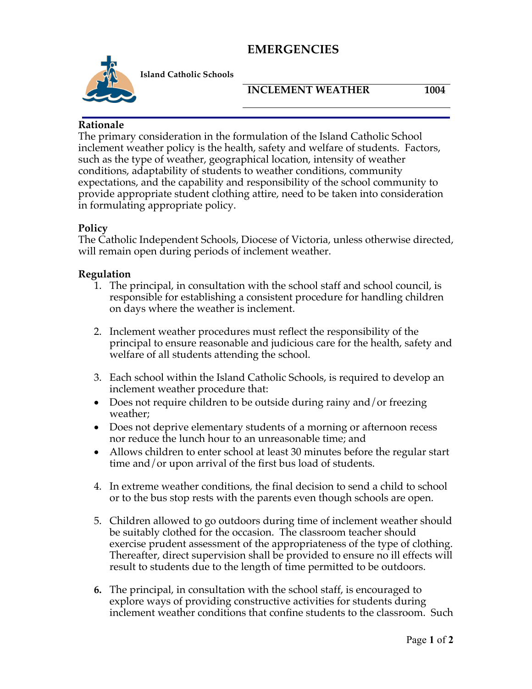# **EMERGENCIES**



**Island Catholic Schools** 

#### **INCLEMENT WEATHER 1004**

### **Rationale**

The primary consideration in the formulation of the Island Catholic School inclement weather policy is the health, safety and welfare of students. Factors, such as the type of weather, geographical location, intensity of weather conditions, adaptability of students to weather conditions, community expectations, and the capability and responsibility of the school community to provide appropriate student clothing attire, need to be taken into consideration in formulating appropriate policy.

## **Policy**

The Catholic Independent Schools, Diocese of Victoria, unless otherwise directed, will remain open during periods of inclement weather.

### **Regulation**

- 1. The principal, in consultation with the school staff and school council, is responsible for establishing a consistent procedure for handling children on days where the weather is inclement.
- 2. Inclement weather procedures must reflect the responsibility of the principal to ensure reasonable and judicious care for the health, safety and welfare of all students attending the school.
- 3. Each school within the Island Catholic Schools, is required to develop an inclement weather procedure that:
- Does not require children to be outside during rainy and/or freezing weather;
- Does not deprive elementary students of a morning or afternoon recess nor reduce the lunch hour to an unreasonable time; and
- Allows children to enter school at least 30 minutes before the regular start time and/or upon arrival of the first bus load of students.
- 4. In extreme weather conditions, the final decision to send a child to school or to the bus stop rests with the parents even though schools are open.
- 5. Children allowed to go outdoors during time of inclement weather should be suitably clothed for the occasion. The classroom teacher should exercise prudent assessment of the appropriateness of the type of clothing. Thereafter, direct supervision shall be provided to ensure no ill effects will result to students due to the length of time permitted to be outdoors.
- **6.** The principal, in consultation with the school staff, is encouraged to explore ways of providing constructive activities for students during inclement weather conditions that confine students to the classroom. Such